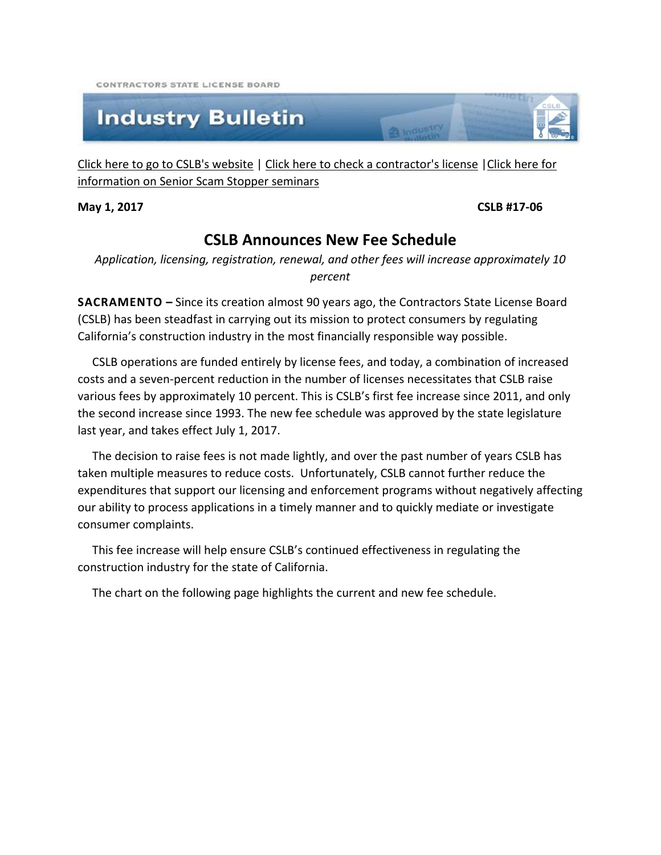CONTRACTORS STATE LICENSE ROARD

## **Industry Bulletin**

[Click here to go to CSLB's website](http://www.cslb.ca.gov/) | [Click here to check a contractor's license](http://www.checkthelicensefirst.com/) [|Click here for](http://www.seniorscamstopper.com/)  [information on Senior Scam Stopper seminars](http://www.seniorscamstopper.com/)

#### **May 1, 2017 CSLB #17-06**

### **CSLB Announces New Fee Schedule**

a Industry

*Application, licensing, registration, renewal, and other fees will increase approximately 10 percent*

**SACRAMENTO –** Since its creation almost 90 years ago, the Contractors State License Board (CSLB) has been steadfast in carrying out its mission to protect consumers by regulating California's construction industry in the most financially responsible way possible.

 CSLB operations are funded entirely by license fees, and today, a combination of increased costs and a seven-percent reduction in the number of licenses necessitates that CSLB raise various fees by approximately 10 percent. This is CSLB's first fee increase since 2011, and only the second increase since 1993. The new fee schedule was approved by the state legislature last year, and takes effect July 1, 2017.

 The decision to raise fees is not made lightly, and over the past number of years CSLB has taken multiple measures to reduce costs. Unfortunately, CSLB cannot further reduce the expenditures that support our licensing and enforcement programs without negatively affecting our ability to process applications in a timely manner and to quickly mediate or investigate consumer complaints.

 This fee increase will help ensure CSLB's continued effectiveness in regulating the construction industry for the state of California.

The chart on the following page highlights the current and new fee schedule.